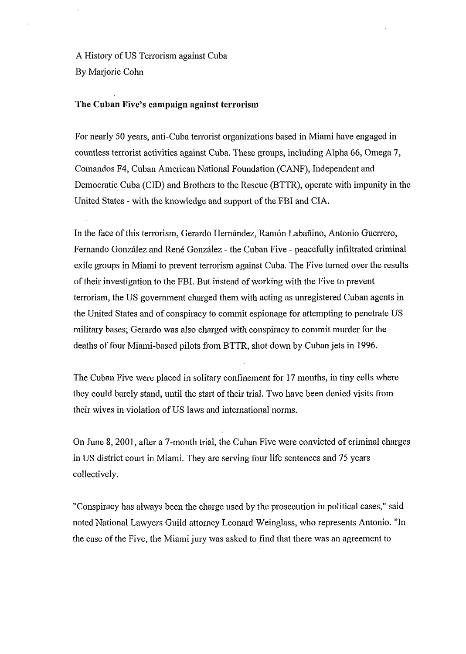A History of US Terrorism against Cuba By Marjorie Cohn

# **The Cuban Five's campaign against terrorism**

For nearly 50 years, anti-Cuba terrorist organizations based in Miami have engaged in countless terrorist activities against Cuba. These groups, including Alpha 66, Omega 7, Comandos F4, Cuban American National Foundation (CANF), Independent and Democratic Cuba (CID) and Brothers to the Rescue (BTTR), operate with impunity in the United States - with the knowledge and support of the FBI and CIA.

In the face of this terrorism, Gerardo Hernández, Ramón Labañino, Antonio Guerrero, Fernando González and René González - the Cuban Five - peacefully infiltrated criminal exile groups in Miami to prevent terrorism against Cuba. The Five turned over the results of their investigation to the FBI. But instead of working with the Five to prevent terrorism, the US government charged them with acting as unregistered Cuban agents in the United States and of conspiracy to commit espionage for attempting to penetrate US military bases; Gerardo was also charged with conspiracy to commit murder for the deaths of four Miami-based pilots from BTTR, shot down by Cuban jets in 1996.

The Cuban Five were placed in solitary confinement for 17 months, in tiny cells where they could barely stand, until the start of their trial. Two have been denied visits fiom their wives in violation of US laws and international norms.

On June 8,2001, after a 7-month trial, the Cuban Five were convicted of criminal charges in US district court in Miami. They are serving four life sentences and 75 years collectively.

"Conspiracy has always been the charge used by the prosecution in political cases," said noted National Lawyers Guild attorney Leonard Weinglass, who represents Antonio. "In the case of the Five, the Miami jury was asked to find that there was an agreement to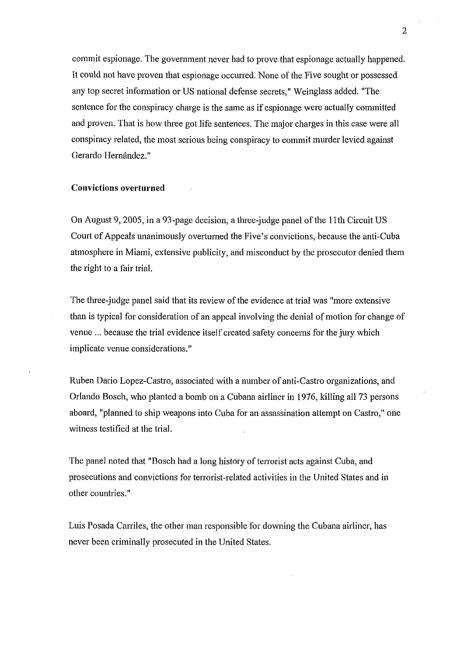commit espionage. The government never had to prove that espionage actually happened. It could not have proven that espionage occurred. None of the Five sought or possessed any top secret information or US national defense secrets," Weinglass added. "The sentence for the conspiracy charge is the same as if espionage were actually committed and proven. That is how three got life sentences. The major charges in this case were all conspiracy related, the most serious being conspiracy to commit murder levied against Gerardo Hernández."

#### **Convictions overturned**

On August 9,2005, in a 93-page decision, a three-judge panel of the l lth Circuit US Court of Appeals unanimously overturned the Five's convictions, because the anti-Cuba atmosphere in Miami, extensive publicity, and misconduct by the prosecutor denied them the right to a fair trial.

The three-judge panel said that its review of the evidence at trial was "more extensive than is typical for consideration of an appeal involving the denial of motion for change of venue ... because the trial evidence itself created safety concerns for the jury which implicate venue considerations."

Ruben Dario Lopez-Castro, associated with a number of anti-Castro organizations, and Orlando Bosch, who planted a bomb on a Cubana airliner in 1976, killing all 73 persons aboard, "planned to ship weapons into Cuba for an assassination attempt on Castro," one witness testified at the trial.

The panel noted that "Bosch had a long history of terrorist acts against Cuba, and prosecutions and convictions for terrorist-related activities in the United States and in other countries."

Luis Posada Carriles, the other man responsible for downing the Cubana airliner, has never been criminally prosecuted in the United States.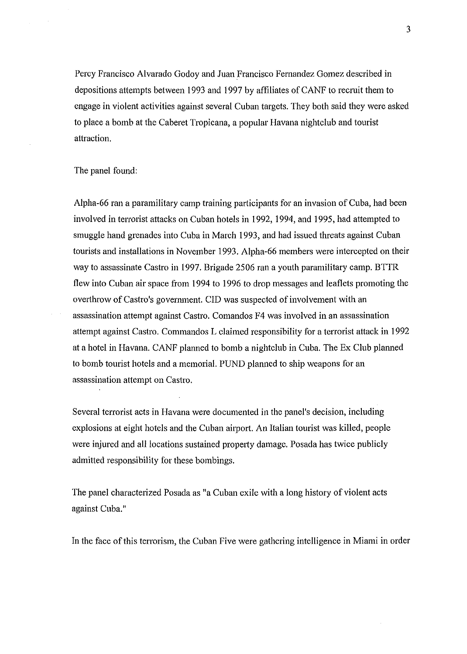Percy Francisco Alvarado Godoy and Juan Francisco Femandez Gomez described in depositions attempts between 1993 and 1997 by affiliates of CANF to recruit them to engage in violent activities against several Cuban targets. They both said they were asked to place a bomb at the Caberet Tropicana, a popular Havana nightclub and tourist attraction.

#### The panel found:

Alpha-66 ran a paramilitary camp training participants for an invasion of Cuba, had been involved in terrorist attacks on Cuban hotels in 1992, 1994, and 1995, had attempted to smuggle hand grenades into Cuba in March 1993, and bad issued threats against Cuban tourists and installations in November 1993. Alpha-66 members were intercepted on their way to assassinate Castro in 1997. Brigade 2506 ran a youth paramilitary camp. BTTR flew into Cuban air space from 1994 to 1996 to drop messages and leaflets promoting the overthrow of Castro's government. CID was suspected of involvement with an assassination attempt against Castro. Comandos F4 was involved in an assassination attempt against Castro. Commandos L claimed responsibility for a terrorist attack in 1992 at a hotel in Havana. CANF planned to bomb a nightclub in Cuba. The Ex Club planned to bomb tourist hotels and a memorial. PUND planned to ship weapons for an assassination attempt on Castro.

Several terrorist acts in Havana were documented in the panel's decision, including explosions at eight hotels and the Cuban airport. An Italian tourist was killed, people were injured and all locations sustained property damage. Posada has twice publicly admitted responsibility for these bombings.

The panel characterized Posada as "a Cuban exile with a long history of violent acts against Cuba."

In the face of this terrorism, the Cuban Five were gathering intelligence in Miami in order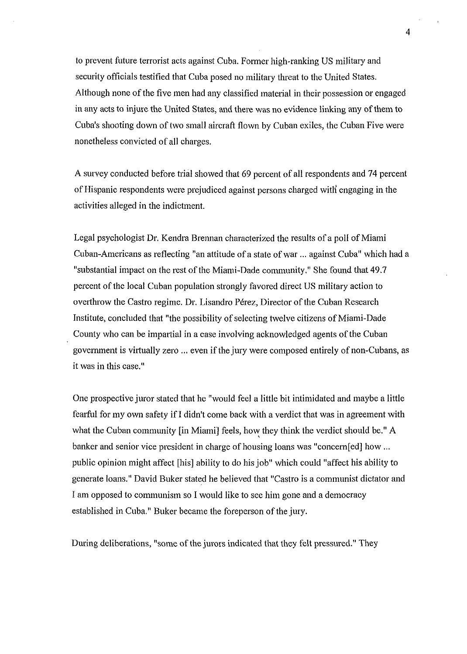to prevent future terrorist acts against Cuba. Former high-ranking US military and security officials testified that Cuba posed no military threat to the United States. Although none of the five men had any classified material in their possession or engaged in any acts to injure the United States, and there was no evidence linking any of them to Cuba's shooting down of two small aircraft flown by Cuban exiles, the Cuban Five were nonetheless convicted of all charges.

A survey conducted before trial showed that 69 percent of all respondents and 74 percent of Hispanic respondents were prejudiced against persons charged witli engaging in the activities alleged in the indictment.

Legal psychologist Dr. Kendra Brennan characterized the results of a poll of Miami Cuban-Americans as reflecting "an attitude of a state of war ... against Cuba" which had a "substantial impact on the rest of the Miami-Dade community." She found that 49.7 percent of the local Cuban population strongly favored direct US military action to overthrow the Castro regime. Dr. Lisandro Pérez, Director of the Cuban Research Institute, concluded that "the possibility of selecting twelve citizens of Miami-Dade County who can be impartial in a case involving acknowledged agents of the Cuban government is virtually zero ... even if the jury were composed entirely of non-Cubans, as it was in this case."

One prospective juror stated that he "would feel a little bit intimidated and maybe a little fearful for my own safety if I didn't come back with a verdict that was in agreement with what the Cuban community [in Miami] feels, how they think the verdict should be." A banker and senior vice president in charge of housing loans was "concem[ed] how ... public opinion might affect [his] ability to do his job" which could "affect his ability to generate loans." David Buker stated he believed that "Castro is a communist dictator and I am opposed to communism so I would like to see him gone and a democracy established in Cuba." Buker became the foreperson of the jury.

During deliberations, "some of the jurors indicated that they felt pressured." They

 $\overline{4}$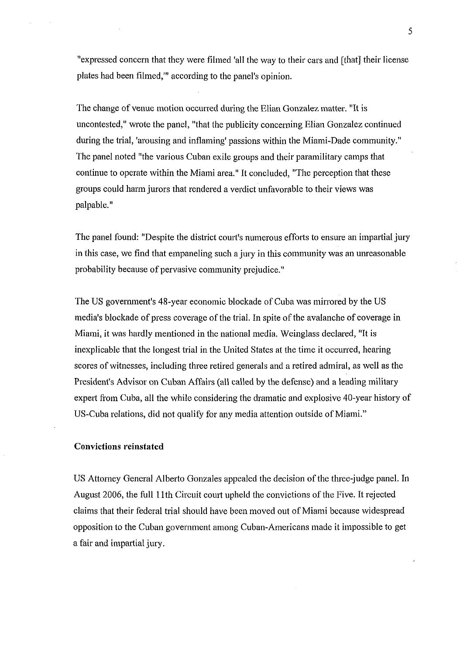"expressed concern that they were filmed 'all the way to their cars and [that] their license plates had been filmed,"' according to the panel's opinion.

The change of venue motion occurred during the Elian Gonzalez matter. "It is uncontested," wrote the panel, "that the publicity concerning Elian Gonzalez continued during the trial, 'arousing and inflaming' passions within the Miami-Dade community." The panel noted "the various Cuban exile groups and their paramilitary camps that continue to operate within the Miami area." It concluded, "The perception that these groups could harm jurors that rendered a verdict unfavorable to their views was palpable."

The panel found: "Despite the district court's numerous efforts to ensure an impartial jury in this case, we find that empaneling such a jury in this community was an unreasonable probability because of pervasive community prejudice."

The US government's 48-year economic blockade of Cuba was mirrored by the US media's blockade of press coverage of the trial. In spite of the avalanche of coverage in Miami, it was hardly mentioned in the national media. Weinglass declared, "It is inexplicable that the longest trial in the United States at the time it occurred, hearing scores of witnesses, including three retired generals and a retired admiral, as well as the President's Advisor on Cuban Affairs (all called by the defense) and a leading military expert from Cuba, all the while considering the dramatic and explosive 40-year history of US-Cuba relations, did not qualify for any media attention outside of Miami."

### **Convictions reinstated**

US Attorney General Alberto Gonzales appealed the decision of the three-judge panel. In August 2006, the full 1 lth Circuit court upheld the convictions of the Five. It rejected claims that their federal trial should have been moved out of Miami because widespread opposition to the Cuban government among Cuban-Americans made it impossible to get a fair and impartial jury.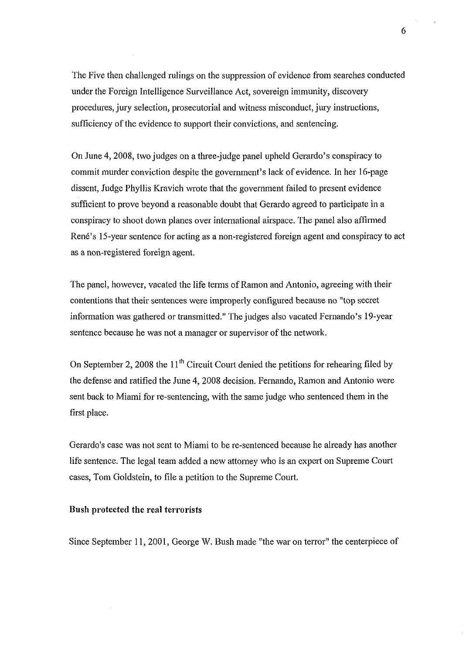The Five then challenged rulings on the suppression of evidence fiom searches conducted under the Foreign Intelligence Surveillance Act, sovereign immunity, discovery procedures, jury selection, prosecutorial and witness misconduct, jury instructions, sufficiency of the evidence to support their convictions, and sentencing.

On June 4,2008, two judges on a three-judge panel upheld Gerardo's conspiracy to commit murder conviction despite the government's lack of evidence. In her 16-page dissent, Judge Phyllis Kravich wrote that the government failed to present evidence sufficient to prove beyond a reasonable doubt that Gerardo agreed to participate in a conspiracy to shoot down planes over international airspace. The panel also affirmed René's 15-year sentence for acting as a non-registered foreign agent and conspiracy to act as a non-registered foreign agent.

The panel, however, vacated the life terms of Ramon and Antonio, agreeing with their contentions that their sentences were improperly configured because no "top secret information was gathered or transmitted." The judges also vacated Fernando's 19-year sentence because he was not a manager or supervisor of the network.

On September 2, 2008 the  $11<sup>th</sup>$  Circuit Court denied the petitions for rehearing filed by the defense and ratified the June 4,2008 decision. Femando, Ramon and Antonio were sent back to Miami for re-sentencing, with the same judge who sentenced them in the first place.

Gerardo's case was not sent to Miami to be re-sentenced because he already has another life sentence. The legal team added a new attorney who is an expert on Supreme Court cases, Tom Goldstein, to file a petition to the Supreme Court.

### **Bush protected the real terrorists**

 $\bar{z}$ 

Since September 11,2001, George W. Bush made "the war on terror" the centerpiece of

6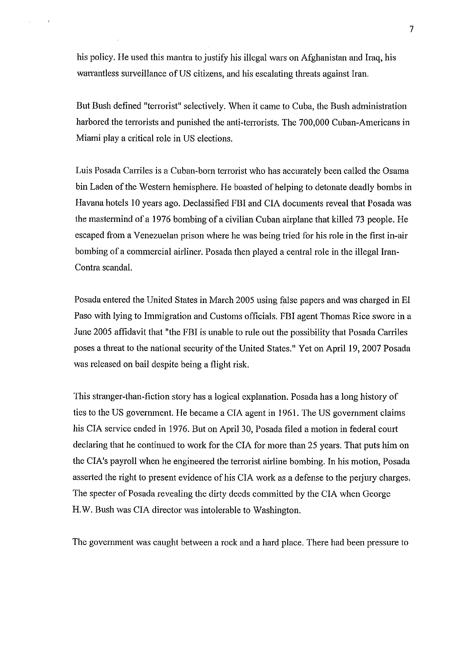his policy. He used this mantra to justify his illegal wars on Afghanistan and Iraq, his warrantless surveillance of US citizens, and his escalating threats against Iran.

But Bush defined "terrorist" selectively. When it came to Cuba, the Bush administration harbored the terrorists and punished the anti-terrorists. The 700,000 Cuban-Americans in Miami play a critical role in US elections.

Luis Posada Carriles is a Cuban-born terrorist who has accurately been called the Osama bin Laden of the Western hemisphere. He boasted of helping to detonate deadly bombs in Havana hotels 10 years ago. Declassified FBI and CIA documents reveal that Posada was the mastermind of a 1976 bombing of a civilian Cuban airplane that killed 73 people. He escaped from a Venezuelan prison where he was being tried for his role in the first in-air bombing of a commercial airliner. Posada then played a central role in the illegal Iran-Contra scandal.

Posada entered the United States in March 2005 using false papers and was charged in El Paso with lying to Immigration and Customs officials. FBI agent Thomas Rice swore in a June 2005 affidavit that "the FBI is unable to rule out the possibility that Posada Carriles poses a threat to the national security of the United States." Yet on April 19,2007 Posada was released on bail despite being a flight risk.

This stranger-than-fiction story has a logical explanation. Posada has a long history of ties to the US government. He became a CIA agent in 1961. The US government claims his CIA service ended in 1976. But on April 30, Posada filed a motion in federal court declaring that he continued to work for the CIA for more than 25 years. That puts him on the CIA's payroll when he engineered the terrorist airline bombing. In his motion, Posada asserted the right to present evidence of his CIA work as a defense to the perjury charges. The specter of Posada revealing the dirty deeds committed by the CIA when George H.W. Bush was CIA director was intolerable to Washington.

The government was caught between a rock and a hard place. There had been pressure to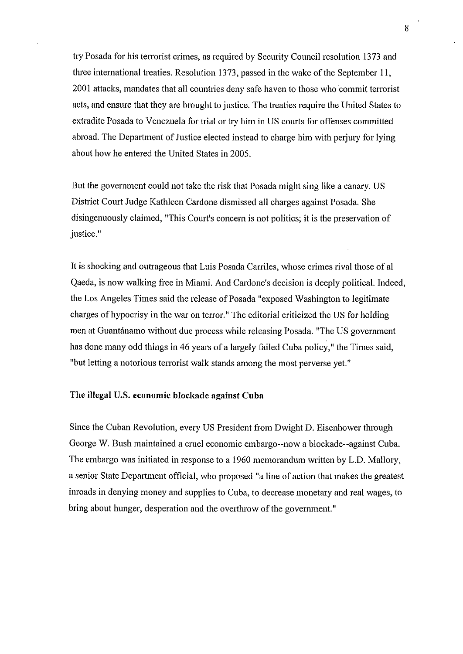try Posada for his terrorist crimes, as required by Security Council resolution 1373 and three international treaties. Resolution 1373, passed in the wake of the September 11, 2001 attacks, mandates that all countries deny safe haven to those who connnit terrorist acts, and ensure that they are brought to justice. The treaties require the United States to extradite Posada to Venezuela for trial or try him in US courts for offenses committed abroad. The Department of Justice elected instead to charge him with perjury for lying about how he entered the United States in 2005.

But the government could not take the risk that Posada might sing like a canary. US District Court Judge Kathleen Cardone dismissed all charges against Posada. She disingenuously claimed, "This Court's concern is not politics; it is the preservation of justice."

It is shocking and outrageous that Luis Posada Carriles, whose crimes rival those of a1 Qaeda, is now walking free in Miami. And Cardone's decision is deeply political. Indeed, the Los Angeles Times said the release of Posada "exposed Washington to legitimate charges of hypocrisy in the war on terror." The editorial criticized the US for holding men at Guantánamo without due process while releasing Posada. "The US government has done many odd things in 46 years of a largely failed Cuba policy," the Times said, "but letting a notorious terrorist walk stands among the most perverse yet."

### The illegal U.S. economic blockade against Cuba

Since the Cuban Revolution, every US President fiom Dwight D. Eisenhower through George W. Bush maintained a cruel economic embargo--now a blockade--against Cuba. The embargo was initiated in response to a 1960 memorandum written by L.D. Mallory, a senior State Department official, who proposed "a line of action that makes the greatest inroads in denying money and supplies to Cuba, to decrease monetary and real wages, to bring about hunger, desperation and the overthrow of the government."

8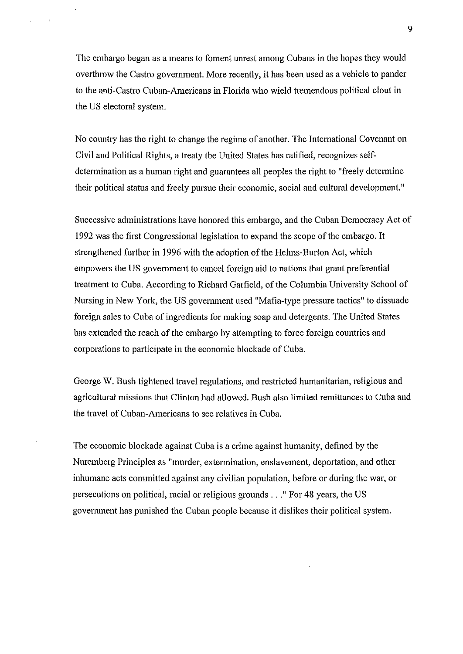The embargo began as a means to foment umest among Cubans in the hopes they would overthrow the Castro government. More recently, it has been used as a vehicle to pander to the anti-Castro Cuban-Americans in Florida who wield tremendous political clout in the US electoral system.

No country has the right to change the regime of another. The International Covenant on Civil and Political Rights, a treaty the United States has ratified, recognizes selfdetermination as a human right and guarantees all peoples the right to "freely determine their political status and fieely pursue their economic, social and cultural development."

Successive administrations have honored this embargo, and the Cuban Democracy Act of 1992 was the first Congressional legislation to expand the scope of the embargo. It strengthened further in 1996 with the adoption of the Helms-Burton Act, which empowers the US government to cancel foreign aid to nations that grant preferential treatment to Cuba. According to Richard Garfield, of the Columbia University School of Nursing in New York, the US government used "Mafia-type pressure tactics" to dissuade foreign sales to Cuba of ingredients for making soap and detergents. The United States has extended the reach of the embargo by attempting to force foreign countries and corporations to participate in the economic blockade of Cuba.

George W. Bush tightened travel regulations, and restricted humanitarian, religious and agricultural missions that Clinton had allowed. Bush also limited remittances to Cuba and the travel of Cuban-Americans to see relatives in Cuba.

The economic blockade against Cuba is a crime against humanity, defined by the Nuremberg Principles as "murder, extermination, enslavement, deportation, and other inhumane acts committed against any civilian population, before or during the war, or persecutions on political, racial or religious grounds . . ." For 48 years, the US government has punished the Cuban people because it dislikes their political system.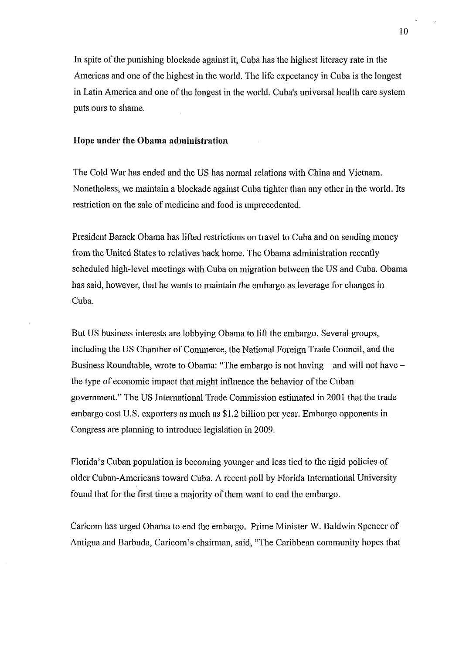In spite of the punishing blockade against it, Cuba has the highest literacy rate in the Americas and one of the highest in the world. The life expectancy in Cuba is the longest in Latin America and one of the longest in the world. Cuba's universal health care system puts ours to shame.

## Hope under the Obama administration

The Cold War has ended and the US has normal relations with China and Vietnam. Nonetheless, we maintain a blockade against Cuba tighter than any other in the world. Its restriction on the sale of medicine and food is unprecedented.

President Barack Obama has lifted restrictions on travel to Cuba and on sending money from the United States to relatives back home. The Obama administration recently scheduled high-level meetings with Cuba on migration between the US and Cuba. Obama has said, however, that he wants to maintain the embargo as leverage for changes in Cuba.

But US business interests are lobbying Obama to lift the embargo. Several groups, including the US Chamber of Commerce, the National Foreign Trade Council, and the Business Roundtable, wrote to Obama: "The embargo is not having – and will not have – the type of economic impact that might influence the behavior of the Cuban government." The US International Trade Commission estimated in 2001 that the trade embargo cost U.S. exporters as much as \$1.2 billion per year. Embargo opponents in Congress are planning to introduce legislation in 2009.

Florida's Cuban population is becoming younger and less tied to the rigid policies of older Cuban-Americans toward Cuba. A recent poll by Florida International University found that for the first time a majority of them want to end the embargo.

Caricom has urged Obama to end the embargo. Prime Minister W. Baldwin Spencer of Antigua and Barbuda, Caricom's chairman, said, "The Caribbean community hopes that